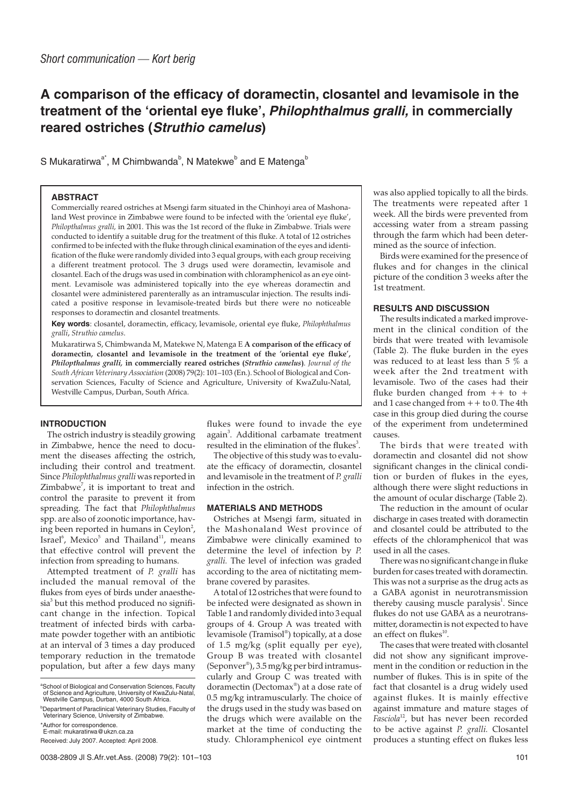# **A comparison of the efficacy of doramectin, closantel and levamisole in the treatment of the 'oriental eye fluke', Philophthalmus gralli, in commercially reared ostriches (Struthio camelus)**

S Mukaratirwa<sup>a\*</sup>, M Chimbwanda<sup>b</sup>, N Matekwe<sup>b</sup> and E Matenga<sup>b</sup>

#### **ABSTRACT**

Commercially reared ostriches at Msengi farm situated in the Chinhoyi area of Mashonaland West province in Zimbabwe were found to be infected with the 'oriental eye fluke', *Philopthalmus gralli,* in 2001. This was the 1st record of the fluke in Zimbabwe. Trials were conducted to identify a suitable drug for the treatment of this fluke. A total of 12 ostriches confirmed to be infected with the fluke through clinical examination of the eyes and identification of the fluke were randomly divided into 3 equal groups, with each group receiving a different treatment protocol. The 3 drugs used were doramectin, levamisole and closantel. Each of the drugs was used in combination with chloramphenicol as an eye ointment. Levamisole was administered topically into the eye whereas doramectin and closantel were administered parenterally as an intramuscular injection. The results indicated a positive response in levamisole-treated birds but there were no noticeable responses to doramectin and closantel treatments.

**Key words**: closantel, doramectin, efficacy, levamisole, oriental eye fluke, *Philophthalmus gralli*, *Struthio camelus*.

Mukaratirwa S, Chimbwanda M, Matekwe N, Matenga E **A comparison of the efficacy of doramectin, closantel and levamisole in the treatment of the 'oriental eye fluke',** *Philopthalmus gralli,* **in commercially reared ostriches (***Struthio camelus***)**. *Journal of the South African Veterinary Association* (2008) 79(2): 101–103 (En.). School of Biological and Conservation Sciences, Faculty of Science and Agriculture, University of KwaZulu-Natal, Westville Campus, Durban, South Africa.

## **INTRODUCTION**

The ostrich industry is steadily growing in Zimbabwe, hence the need to document the diseases affecting the ostrich, including their control and treatment. Since *Philophthalmus gralli* was reported in Zimbabwe<sup>7</sup>, it is important to treat and control the parasite to prevent it from spreading. The fact that *Philophthalmus* spp. are also of zoonotic importance, having been reported in humans in Ceylon<sup>2</sup>, Israel $^6$ , Mexico $^5$  and Thailand $^{11}$ , means that effective control will prevent the infection from spreading to humans.

Attempted treatment of *P. gralli* has included the manual removal of the flukes from eyes of birds under anaesthesia<sup>3</sup> but this method produced no significant change in the infection. Topical treatment of infected birds with carbamate powder together with an antibiotic at an interval of 3 times a day produced temporary reduction in the trematode population, but after a few days many

flukes were found to invade the eye again<sup>3</sup>. Additional carbamate treatment resulted in the elimination of the flukes $3$ .

The objective of this study was to evaluate the efficacy of doramectin, closantel and levamisole in the treatment of *P. gralli* infection in the ostrich.

#### **MATERIALS AND METHODS**

Ostriches at Msengi farm, situated in the Mashonaland West province of Zimbabwe were clinically examined to determine the level of infection by *P. gralli.* The level of infection was graded according to the area of nictitating membrane covered by parasites.

A total of 12 ostriches that were found to be infected were designated as shown in Table 1 and randomly divided into 3 equal groups of 4. Group A was treated with levamisole (Tramisol® ) topically, at a dose of 1.5 mg/kg (split equally per eye), Group B was treated with closantel (Seponver® ), 3.5 mg/kg per bird intramuscularly and Group C was treated with doramectin (Dectomax® ) at a dose rate of 0.5 mg/kg intramuscularly. The choice of the drugs used in the study was based on the drugs which were available on the market at the time of conducting the study. Chloramphenicol eye ointment was also applied topically to all the birds. The treatments were repeated after 1 week. All the birds were prevented from accessing water from a stream passing through the farm which had been determined as the source of infection.

Birds were examined for the presence of flukes and for changes in the clinical picture of the condition 3 weeks after the 1st treatment.

## **RESULTS AND DISCUSSION**

The results indicated a marked improvement in the clinical condition of the birds that were treated with levamisole (Table 2). The fluke burden in the eyes was reduced to at least less than 5 % a week after the 2nd treatment with levamisole. Two of the cases had their fluke burden changed from  $++$  to  $+$ and 1 case changed from  $++$  to 0. The 4th case in this group died during the course of the experiment from undetermined causes.

The birds that were treated with doramectin and closantel did not show significant changes in the clinical condition or burden of flukes in the eyes, although there were slight reductions in the amount of ocular discharge (Table 2).

The reduction in the amount of ocular discharge in cases treated with doramectin and closantel could be attributed to the effects of the chloramphenicol that was used in all the cases.

There was no significant change in fluke burden for cases treated with doramectin. This was not a surprise as the drug acts as a GABA agonist in neurotransmission thereby causing muscle paralysis<sup>1</sup>. Since flukes do not use GABA as a neurotransmitter, doramectin is not expected to have an effect on flukes $^{10}$ .

The cases that were treated with closantel did not show any significant improvement in the condition or reduction in the number of flukes. This is in spite of the fact that closantel is a drug widely used against flukes. It is mainly effective against immature and mature stages of Fasciola<sup>12</sup>, but has never been recorded to be active against *P. gralli.* Closantel produces a stunting effect on flukes less

aSchool of Biological and Conservation Sciences, Faculty of Science and Agriculture, University of KwaZulu-Natal, Westville Campus, Durban, 4000 South Africa.

**Department of Paraclinical Veterinary Studies, Faculty of** Veterinary Science, University of Zimbabwe.

<sup>\*</sup>Author for correspondence.

E-mail: mukaratirwa@ukzn.ca.za

Received: July 2007. Accepted: April 2008.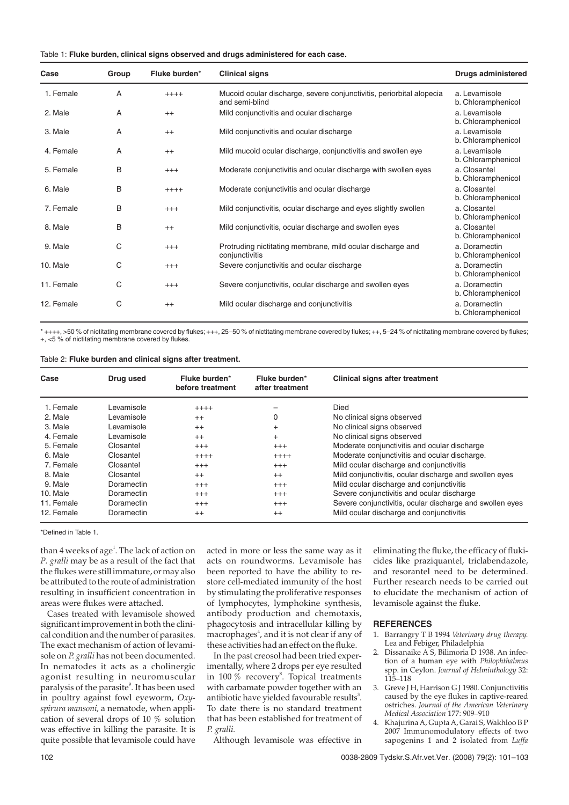|  |  |  |  |  |  |  |  | Table 1: Fluke burden, clinical signs observed and drugs administered for each case. |  |  |
|--|--|--|--|--|--|--|--|--------------------------------------------------------------------------------------|--|--|
|--|--|--|--|--|--|--|--|--------------------------------------------------------------------------------------|--|--|

| Case       | Group | Fluke burden* | <b>Clinical signs</b>                                                                  | <b>Drugs administered</b>           |
|------------|-------|---------------|----------------------------------------------------------------------------------------|-------------------------------------|
| 1. Female  | A     | $++++$        | Mucoid ocular discharge, severe conjunctivitis, periorbital alopecia<br>and semi-blind | a. Levamisole<br>b. Chloramphenicol |
| 2. Male    | A     | $^{++}$       | Mild conjunctivitis and ocular discharge                                               | a. Levamisole<br>b. Chloramphenicol |
| 3. Male    | A     | $^{++}$       | Mild conjunctivitis and ocular discharge                                               | a. Levamisole<br>b. Chloramphenicol |
| 4. Female  | A     | $++$          | Mild mucoid ocular discharge, conjunctivitis and swollen eye                           | a. Levamisole<br>b. Chloramphenicol |
| 5. Female  | В     | $^{+++}$      | Moderate conjunctivitis and ocular discharge with swollen eyes                         | a. Closantel<br>b. Chloramphenicol  |
| 6. Male    | B     | $++++$        | Moderate conjunctivitis and ocular discharge                                           | a. Closantel<br>b. Chloramphenicol  |
| 7. Female  | B     | $+++$         | Mild conjunctivitis, ocular discharge and eyes slightly swollen                        | a. Closantel<br>b. Chloramphenicol  |
| 8. Male    | В     | $^{++}$       | Mild conjunctivitis, ocular discharge and swollen eyes                                 | a. Closantel<br>b. Chloramphenicol  |
| 9. Male    | C     | $^{+++}$      | Protruding nictitating membrane, mild ocular discharge and<br>conjunctivitis           | a. Doramectin<br>b. Chloramphenicol |
| 10. Male   | C     | $^{+++}$      | Severe conjunctivitis and ocular discharge                                             | a. Doramectin<br>b. Chloramphenicol |
| 11. Female | C     | $+++$         | Severe conjunctivitis, ocular discharge and swollen eyes                               | a. Doramectin<br>b. Chloramphenicol |
| 12. Female | С     | $^{++}$       | Mild ocular discharge and conjunctivitis                                               | a. Doramectin<br>b. Chloramphenicol |

\* ++++, >50 % of nictitating membrane covered by flukes; +++, 25–50 % of nictitating membrane covered by flukes; ++, 5–24 % of nictitating membrane covered by flukes; +, <5 % of nictitating membrane covered by flukes.

### Table 2: **Fluke burden and clinical signs after treatment.**

| Case       | Drug used  | Fluke burden*<br>before treatment | Fluke burden*<br>after treatment | <b>Clinical signs after treatment</b>                    |
|------------|------------|-----------------------------------|----------------------------------|----------------------------------------------------------|
| 1. Female  | Levamisole | $++++$                            |                                  | <b>Died</b>                                              |
| 2. Male    | Levamisole | $^{++}$                           | 0                                | No clinical signs observed                               |
| 3. Male    | Levamisole | $^{++}$                           | $^{+}$                           | No clinical signs observed                               |
| 4. Female  | Levamisole | $^{++}$                           | $^{+}$                           | No clinical signs observed                               |
| 5. Female  | Closantel  | $^{+++}$                          | $^{+++}$                         | Moderate conjunctivitis and ocular discharge             |
| 6. Male    | Closantel  | $++++$                            | $++++$                           | Moderate conjunctivitis and ocular discharge.            |
| 7. Female  | Closantel  | $^{+++}$                          | $^{+++}$                         | Mild ocular discharge and conjunctivitis                 |
| 8. Male    | Closantel  | $^{++}$                           | $^{++}$                          | Mild conjunctivitis, ocular discharge and swollen eyes   |
| 9. Male    | Doramectin | $^{+++}$                          | $^{+++}$                         | Mild ocular discharge and conjunctivitis                 |
| 10. Male   | Doramectin | $^{+++}$                          | $^{+++}$                         | Severe conjunctivitis and ocular discharge               |
| 11. Female | Doramectin | $^{+++}$                          | $^{+++}$                         | Severe conjunctivitis, ocular discharge and swollen eyes |
| 12. Female | Doramectin | $^{++}$                           | $^{++}$                          | Mild ocular discharge and conjunctivitis                 |

\*Defined in Table 1.

than 4 weeks of age<sup>1</sup>. The lack of action on *P. gralli* may be as a result of the fact that the flukes were still immature, or may also be attributed to the route of administration resulting in insufficient concentration in areas were flukes were attached.

Cases treated with levamisole showed significant improvement in both the clinical condition and the number of parasites. The exact mechanism of action of levamisole on *P. gralli* has not been documented. In nematodes it acts as a cholinergic agonist resulting in neuromuscular paralysis of the parasite<sup>9</sup>. It has been used in poultry against fowl eyeworm, *Oxyspirura mansoni,* a nematode, when application of several drops of 10 % solution was effective in killing the parasite. It is quite possible that levamisole could have

acted in more or less the same way as it acts on roundworms. Levamisole has been reported to have the ability to restore cell-mediated immunity of the host by stimulating the proliferative responses of lymphocytes, lymphokine synthesis, antibody production and chemotaxis, phagocytosis and intracellular killing by macrophages<sup>4</sup>, and it is not clear if any of these activities had an effect on the fluke.

In the past creosol had been tried experimentally, where 2 drops per eye resulted in  $100\ \%$  recovery $^8$ . Topical treatments with carbamate powder together with an antibiotic have yielded favourable results<sup>3</sup>. To date there is no standard treatment that has been established for treatment of *P. gralli.*

Although levamisole was effective in

eliminating the fluke, the efficacy of flukicides like praziquantel, triclabendazole, and resorantel need to be determined. Further research needs to be carried out to elucidate the mechanism of action of levamisole against the fluke.

#### **REFERENCES**

- 1. Barrangry T B 1994 *Veterinary drug therapy.* Lea and Febiger, Philadelphia
- 2. Dissanaike A S, Bilimoria D 1938. An infection of a human eye with *Philophthalmus* spp. in Ceylon. *Journal of Helminthology* 32: 115–118
- 3. Greve J H, Harrison G J 1980. Conjunctivitis caused by the eye flukes in captive-reared ostriches. *Journal of the American Veterinary Medical Association* 177: 909–910
- 4. Khajurina A, Gupta A, Garai S, Wakhloo B P 2007 Immunomodulatory effects of two sapogenins 1 and 2 isolated from *Luffa*